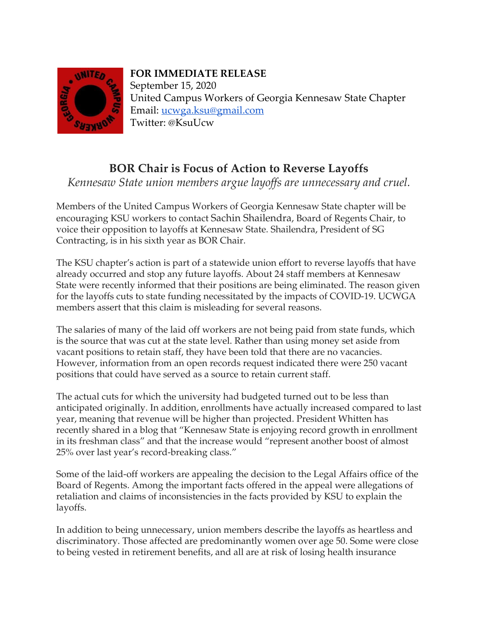

## **FOR IMMEDIATE RELEASE**

September 15, 2020 United Campus Workers of Georgia Kennesaw State Chapter Email: [ucwga.ksu@gmail.com](mailto:ucwga.ksu@gmail.com) Twitter: @KsuUcw

## **BOR Chair is Focus of Action to Reverse Layoffs**

*Kennesaw State union members argue layoffs are unnecessary and cruel.* 

Members of the United Campus Workers of Georgia Kennesaw State chapter will be encouraging KSU workers to contact Sachin Shailendra, Board of Regents Chair, to voice their opposition to layoffs at Kennesaw State. Shailendra, President of SG Contracting, is in his sixth year as BOR Chair.

The KSU chapter's action is part of a statewide union effort to reverse layoffs that have already occurred and stop any future layoffs. About 24 staff members at Kennesaw State were recently informed that their positions are being eliminated. The reason given for the layoffs cuts to state funding necessitated by the impacts of COVID-19. UCWGA members assert that this claim is misleading for several reasons.

The salaries of many of the laid off workers are not being paid from state funds, which is the source that was cut at the state level. Rather than using money set aside from vacant positions to retain staff, they have been told that there are no vacancies. However, information from an open records request indicated there were 250 vacant positions that could have served as a source to retain current staff.

The actual cuts for which the university had budgeted turned out to be less than anticipated originally. In addition, enrollments have actually increased compared to last year, meaning that revenue will be higher than projected. President Whitten has recently shared in a blog that "Kennesaw State is enjoying record growth in enrollment in its freshman class" and that the increase would "represent another boost of almost 25% over last year's record-breaking class."

Some of the laid-off workers are appealing the decision to the Legal Affairs office of the Board of Regents. Among the important facts offered in the appeal were allegations of retaliation and claims of inconsistencies in the facts provided by KSU to explain the layoffs.

In addition to being unnecessary, union members describe the layoffs as heartless and discriminatory. Those affected are predominantly women over age 50. Some were close to being vested in retirement benefits, and all are at risk of losing health insurance